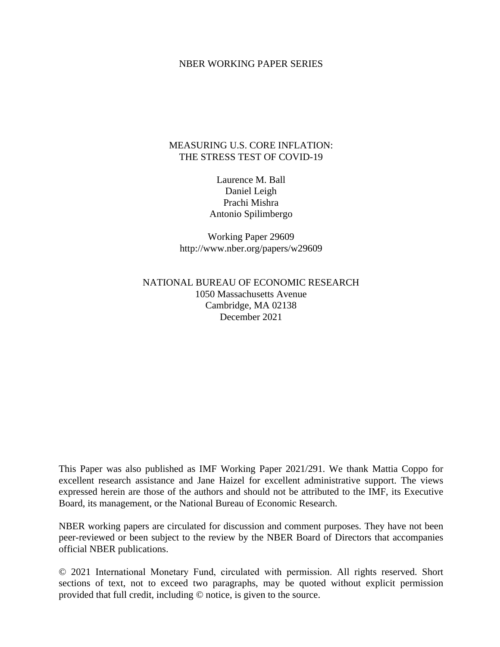### NBER WORKING PAPER SERIES

## MEASURING U.S. CORE INFLATION: THE STRESS TEST OF COVID-19

Laurence M. Ball Daniel Leigh Prachi Mishra Antonio Spilimbergo

Working Paper 29609 http://www.nber.org/papers/w29609

## NATIONAL BUREAU OF ECONOMIC RESEARCH 1050 Massachusetts Avenue Cambridge, MA 02138 December 2021

This Paper was also published as IMF Working Paper 2021/291. We thank Mattia Coppo for excellent research assistance and Jane Haizel for excellent administrative support. The views expressed herein are those of the authors and should not be attributed to the IMF, its Executive Board, its management, or the National Bureau of Economic Research.

NBER working papers are circulated for discussion and comment purposes. They have not been peer-reviewed or been subject to the review by the NBER Board of Directors that accompanies official NBER publications.

© 2021 International Monetary Fund, circulated with permission. All rights reserved. Short sections of text, not to exceed two paragraphs, may be quoted without explicit permission provided that full credit, including © notice, is given to the source.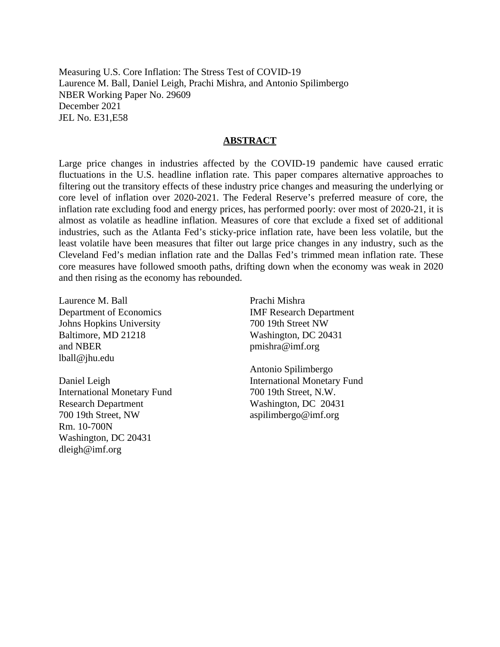Measuring U.S. Core Inflation: The Stress Test of COVID-19 Laurence M. Ball, Daniel Leigh, Prachi Mishra, and Antonio Spilimbergo NBER Working Paper No. 29609 December 2021 JEL No. E31,E58

## **ABSTRACT**

Large price changes in industries affected by the COVID-19 pandemic have caused erratic fluctuations in the U.S. headline inflation rate. This paper compares alternative approaches to filtering out the transitory effects of these industry price changes and measuring the underlying or core level of inflation over 2020-2021. The Federal Reserve's preferred measure of core, the inflation rate excluding food and energy prices, has performed poorly: over most of 2020-21, it is almost as volatile as headline inflation. Measures of core that exclude a fixed set of additional industries, such as the Atlanta Fed's sticky-price inflation rate, have been less volatile, but the least volatile have been measures that filter out large price changes in any industry, such as the Cleveland Fed's median inflation rate and the Dallas Fed's trimmed mean inflation rate. These core measures have followed smooth paths, drifting down when the economy was weak in 2020 and then rising as the economy has rebounded.

Laurence M. Ball Department of Economics Johns Hopkins University Baltimore, MD 21218 and NBER lball@jhu.edu

Daniel Leigh International Monetary Fund Research Department 700 19th Street, NW Rm. 10-700N Washington, DC 20431 dleigh@imf.org

Prachi Mishra IMF Research Department 700 19th Street NW Washington, DC 20431 pmishra@imf.org

Antonio Spilimbergo International Monetary Fund 700 19th Street, N.W. Washington, DC 20431 aspilimbergo@imf.org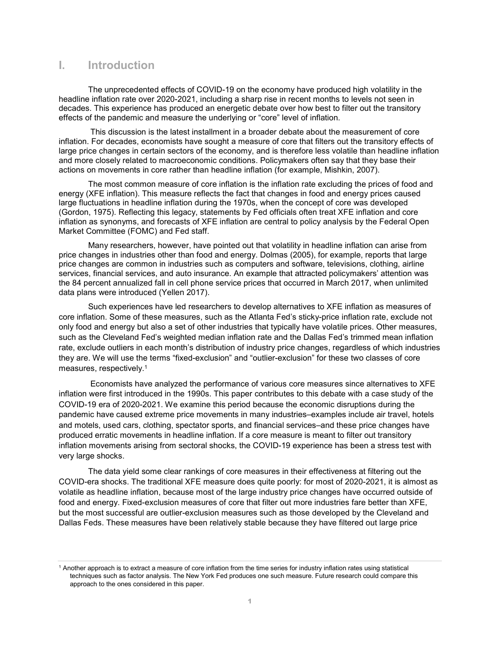## I. Introduction

The unprecedented effects of COVID-19 on the economy have produced high volatility in the headline inflation rate over 2020-2021, including a sharp rise in recent months to levels not seen in decades. This experience has produced an energetic debate over how best to filter out the transitory effects of the pandemic and measure the underlying or "core" level of inflation.

 This discussion is the latest installment in a broader debate about the measurement of core inflation. For decades, economists have sought a measure of core that filters out the transitory effects of large price changes in certain sectors of the economy, and is therefore less volatile than headline inflation and more closely related to macroeconomic conditions. Policymakers often say that they base their actions on movements in core rather than headline inflation (for example, Mishkin, 2007).

The most common measure of core inflation is the inflation rate excluding the prices of food and energy (XFE inflation). This measure reflects the fact that changes in food and energy prices caused large fluctuations in headline inflation during the 1970s, when the concept of core was developed (Gordon, 1975). Reflecting this legacy, statements by Fed officials often treat XFE inflation and core inflation as synonyms, and forecasts of XFE inflation are central to policy analysis by the Federal Open Market Committee (FOMC) and Fed staff.

Many researchers, however, have pointed out that volatility in headline inflation can arise from price changes in industries other than food and energy. Dolmas (2005), for example, reports that large price changes are common in industries such as computers and software, televisions, clothing, airline services, financial services, and auto insurance. An example that attracted policymakers' attention was the 84 percent annualized fall in cell phone service prices that occurred in March 2017, when unlimited data plans were introduced (Yellen 2017).

Such experiences have led researchers to develop alternatives to XFE inflation as measures of core inflation. Some of these measures, such as the Atlanta Fed's sticky-price inflation rate, exclude not only food and energy but also a set of other industries that typically have volatile prices. Other measures, such as the Cleveland Fed's weighted median inflation rate and the Dallas Fed's trimmed mean inflation rate, exclude outliers in each month's distribution of industry price changes, regardless of which industries they are. We will use the terms "fixed-exclusion" and "outlier-exclusion" for these two classes of core measures, respectively.<sup>1</sup>

 Economists have analyzed the performance of various core measures since alternatives to XFE inflation were first introduced in the 1990s. This paper contributes to this debate with a case study of the COVID-19 era of 2020-2021. We examine this period because the economic disruptions during the pandemic have caused extreme price movements in many industries–examples include air travel, hotels and motels, used cars, clothing, spectator sports, and financial services–and these price changes have produced erratic movements in headline inflation. If a core measure is meant to filter out transitory inflation movements arising from sectoral shocks, the COVID-19 experience has been a stress test with very large shocks.

The data yield some clear rankings of core measures in their effectiveness at filtering out the COVID-era shocks. The traditional XFE measure does quite poorly: for most of 2020-2021, it is almost as volatile as headline inflation, because most of the large industry price changes have occurred outside of food and energy. Fixed-exclusion measures of core that filter out more industries fare better than XFE, but the most successful are outlier-exclusion measures such as those developed by the Cleveland and Dallas Feds. These measures have been relatively stable because they have filtered out large price

<sup>1</sup> Another approach is to extract a measure of core inflation from the time series for industry inflation rates using statistical techniques such as factor analysis. The New York Fed produces one such measure. Future research could compare this approach to the ones considered in this paper.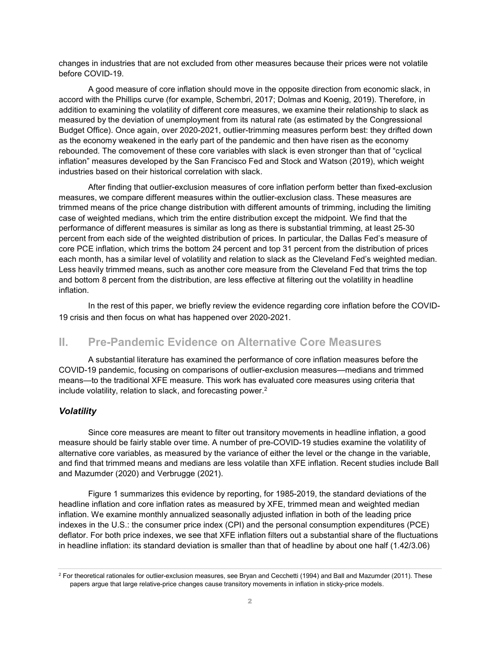changes in industries that are not excluded from other measures because their prices were not volatile before COVID-19.

A good measure of core inflation should move in the opposite direction from economic slack, in accord with the Phillips curve (for example, Schembri, 2017; Dolmas and Koenig, 2019). Therefore, in addition to examining the volatility of different core measures, we examine their relationship to slack as measured by the deviation of unemployment from its natural rate (as estimated by the Congressional Budget Office). Once again, over 2020-2021, outlier-trimming measures perform best: they drifted down as the economy weakened in the early part of the pandemic and then have risen as the economy rebounded. The comovement of these core variables with slack is even stronger than that of "cyclical inflation" measures developed by the San Francisco Fed and Stock and Watson (2019), which weight industries based on their historical correlation with slack.

After finding that outlier-exclusion measures of core inflation perform better than fixed-exclusion measures, we compare different measures within the outlier-exclusion class. These measures are trimmed means of the price change distribution with different amounts of trimming, including the limiting case of weighted medians, which trim the entire distribution except the midpoint. We find that the performance of different measures is similar as long as there is substantial trimming, at least 25-30 percent from each side of the weighted distribution of prices. In particular, the Dallas Fed's measure of core PCE inflation, which trims the bottom 24 percent and top 31 percent from the distribution of prices each month, has a similar level of volatility and relation to slack as the Cleveland Fed's weighted median. Less heavily trimmed means, such as another core measure from the Cleveland Fed that trims the top and bottom 8 percent from the distribution, are less effective at filtering out the volatility in headline inflation.

 In the rest of this paper, we briefly review the evidence regarding core inflation before the COVID-19 crisis and then focus on what has happened over 2020-2021.

# II. Pre-Pandemic Evidence on Alternative Core Measures

A substantial literature has examined the performance of core inflation measures before the COVID-19 pandemic, focusing on comparisons of outlier-exclusion measures—medians and trimmed means—to the traditional XFE measure. This work has evaluated core measures using criteria that include volatility, relation to slack, and forecasting power.<sup>2</sup>

### Volatility

Since core measures are meant to filter out transitory movements in headline inflation, a good measure should be fairly stable over time. A number of pre-COVID-19 studies examine the volatility of alternative core variables, as measured by the variance of either the level or the change in the variable, and find that trimmed means and medians are less volatile than XFE inflation. Recent studies include Ball and Mazumder (2020) and Verbrugge (2021).

Figure 1 summarizes this evidence by reporting, for 1985-2019, the standard deviations of the headline inflation and core inflation rates as measured by XFE, trimmed mean and weighted median inflation. We examine monthly annualized seasonally adjusted inflation in both of the leading price indexes in the U.S.: the consumer price index (CPI) and the personal consumption expenditures (PCE) deflator. For both price indexes, we see that XFE inflation filters out a substantial share of the fluctuations in headline inflation: its standard deviation is smaller than that of headline by about one half (1.42/3.06)

 $^2$  For theoretical rationales for outlier-exclusion measures, see Bryan and Cecchetti (1994) and Ball and Mazumder (2011). These papers argue that large relative-price changes cause transitory movements in inflation in sticky-price models.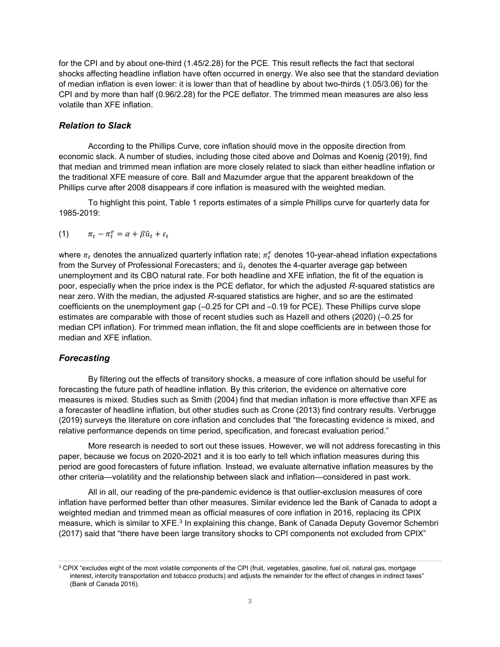for the CPI and by about one-third (1.45/2.28) for the PCE. This result reflects the fact that sectoral shocks affecting headline inflation have often occurred in energy. We also see that the standard deviation of median inflation is even lower: it is lower than that of headline by about two-thirds (1.05/3.06) for the CPI and by more than half (0.96/2.28) for the PCE deflator. The trimmed mean measures are also less volatile than XFE inflation.

### Relation to Slack

According to the Phillips Curve, core inflation should move in the opposite direction from economic slack. A number of studies, including those cited above and Dolmas and Koenig (2019), find that median and trimmed mean inflation are more closely related to slack than either headline inflation or the traditional XFE measure of core. Ball and Mazumder argue that the apparent breakdown of the Phillips curve after 2008 disappears if core inflation is measured with the weighted median.

To highlight this point, Table 1 reports estimates of a simple Phillips curve for quarterly data for 1985-2019:

$$
(1) \qquad \pi_t - \pi_t^e = \alpha + \beta \tilde{u}_t + \varepsilon_t
$$

where  $\pi_t$  denotes the annualized quarterly inflation rate;  $\pi_t^e$  denotes 10-year-ahead inflation expectations from the Survey of Professional Forecasters; and  $\tilde{u}_t$  denotes the 4-quarter average gap between unemployment and its CBO natural rate. For both headline and XFE inflation, the fit of the equation is poor, especially when the price index is the PCE deflator, for which the adjusted R-squared statistics are near zero. With the median, the adjusted R-squared statistics are higher, and so are the estimated coefficients on the unemployment gap (–0.25 for CPI and –0.19 for PCE). These Phillips curve slope estimates are comparable with those of recent studies such as Hazell and others (2020) (–0.25 for median CPI inflation). For trimmed mean inflation, the fit and slope coefficients are in between those for median and XFE inflation.

### **Forecasting**

By filtering out the effects of transitory shocks, a measure of core inflation should be useful for forecasting the future path of headline inflation. By this criterion, the evidence on alternative core measures is mixed. Studies such as Smith (2004) find that median inflation is more effective than XFE as a forecaster of headline inflation, but other studies such as Crone (2013) find contrary results. Verbrugge (2019) surveys the literature on core inflation and concludes that "the forecasting evidence is mixed, and relative performance depends on time period, specification, and forecast evaluation period."

More research is needed to sort out these issues. However, we will not address forecasting in this paper, because we focus on 2020-2021 and it is too early to tell which inflation measures during this period are good forecasters of future inflation. Instead, we evaluate alternative inflation measures by the other criteria—volatility and the relationship between slack and inflation—considered in past work.

All in all, our reading of the pre-pandemic evidence is that outlier-exclusion measures of core inflation have performed better than other measures. Similar evidence led the Bank of Canada to adopt a weighted median and trimmed mean as official measures of core inflation in 2016, replacing its CPIX measure, which is similar to XFE. $^3$  In explaining this change, Bank of Canada Deputy Governor Schembri (2017) said that "there have been large transitory shocks to CPI components not excluded from CPIX"

 $^3$  CPIX "excludes eight of the most volatile components of the CPI (fruit, vegetables, gasoline, fuel oil, natural gas, mortgage interest, intercity transportation and tobacco products) and adjusts the remainder for the effect of changes in indirect taxes" (Bank of Canada 2016).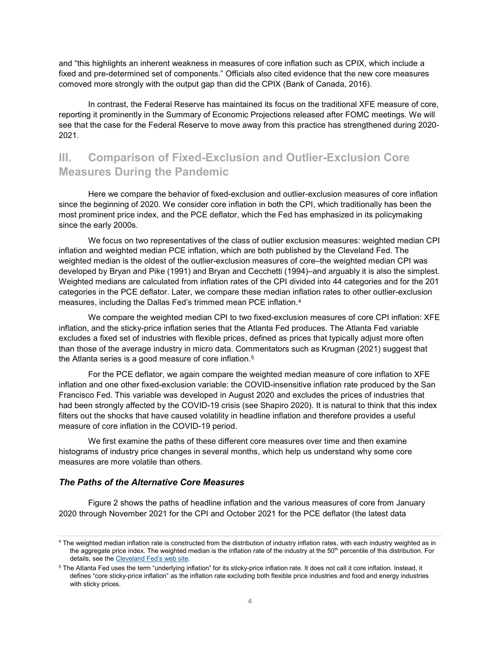and "this highlights an inherent weakness in measures of core inflation such as CPIX, which include a fixed and pre-determined set of components." Officials also cited evidence that the new core measures comoved more strongly with the output gap than did the CPIX (Bank of Canada, 2016).

In contrast, the Federal Reserve has maintained its focus on the traditional XFE measure of core, reporting it prominently in the Summary of Economic Projections released after FOMC meetings. We will see that the case for the Federal Reserve to move away from this practice has strengthened during 2020- 2021.

# III. Comparison of Fixed-Exclusion and Outlier-Exclusion Core Measures During the Pandemic

Here we compare the behavior of fixed-exclusion and outlier-exclusion measures of core inflation since the beginning of 2020. We consider core inflation in both the CPI, which traditionally has been the most prominent price index, and the PCE deflator, which the Fed has emphasized in its policymaking since the early 2000s.

We focus on two representatives of the class of outlier exclusion measures: weighted median CPI inflation and weighted median PCE inflation, which are both published by the Cleveland Fed. The weighted median is the oldest of the outlier-exclusion measures of core–the weighted median CPI was developed by Bryan and Pike (1991) and Bryan and Cecchetti (1994)–and arguably it is also the simplest. Weighted medians are calculated from inflation rates of the CPI divided into 44 categories and for the 201 categories in the PCE deflator. Later, we compare these median inflation rates to other outlier-exclusion measures, including the Dallas Fed's trimmed mean PCE inflation.<sup>4</sup>

We compare the weighted median CPI to two fixed-exclusion measures of core CPI inflation: XFE inflation, and the sticky-price inflation series that the Atlanta Fed produces. The Atlanta Fed variable excludes a fixed set of industries with flexible prices, defined as prices that typically adjust more often than those of the average industry in micro data. Commentators such as Krugman (2021) suggest that the Atlanta series is a good measure of core inflation.<sup>5</sup>

For the PCE deflator, we again compare the weighted median measure of core inflation to XFE inflation and one other fixed-exclusion variable: the COVID-insensitive inflation rate produced by the San Francisco Fed. This variable was developed in August 2020 and excludes the prices of industries that had been strongly affected by the COVID-19 crisis (see Shapiro 2020). It is natural to think that this index filters out the shocks that have caused volatility in headline inflation and therefore provides a useful measure of core inflation in the COVID-19 period.

We first examine the paths of these different core measures over time and then examine histograms of industry price changes in several months, which help us understand why some core measures are more volatile than others.

#### The Paths of the Alternative Core Measures

Figure 2 shows the paths of headline inflation and the various measures of core from January 2020 through November 2021 for the CPI and October 2021 for the PCE deflator (the latest data

<sup>4</sup> The weighted median inflation rate is constructed from the distribution of industry inflation rates, with each industry weighted as in the aggregate price index. The weighted median is the inflation rate of the industry at the 50<sup>th</sup> percentile of this distribution. For details, see the Cleveland Fed's web site.

 $^5$  The Atlanta Fed uses the term "underlying inflation" for its sticky-price inflation rate. It does not call it core inflation. Instead, it defines "core sticky-price inflation" as the inflation rate excluding both flexible price industries and food and energy industries with sticky prices.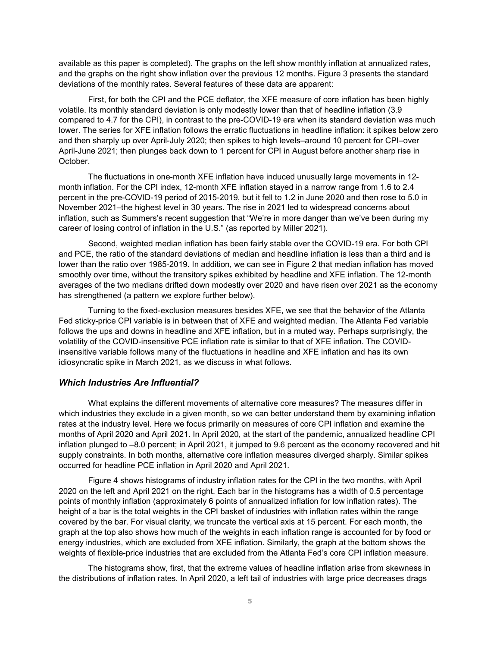available as this paper is completed). The graphs on the left show monthly inflation at annualized rates, and the graphs on the right show inflation over the previous 12 months. Figure 3 presents the standard deviations of the monthly rates. Several features of these data are apparent:

First, for both the CPI and the PCE deflator, the XFE measure of core inflation has been highly volatile. Its monthly standard deviation is only modestly lower than that of headline inflation (3.9 compared to 4.7 for the CPI), in contrast to the pre-COVID-19 era when its standard deviation was much lower. The series for XFE inflation follows the erratic fluctuations in headline inflation: it spikes below zero and then sharply up over April-July 2020; then spikes to high levels–around 10 percent for CPI–over April-June 2021; then plunges back down to 1 percent for CPI in August before another sharp rise in October.

The fluctuations in one-month XFE inflation have induced unusually large movements in 12 month inflation. For the CPI index, 12-month XFE inflation stayed in a narrow range from 1.6 to 2.4 percent in the pre-COVID-19 period of 2015-2019, but it fell to 1.2 in June 2020 and then rose to 5.0 in November 2021–the highest level in 30 years. The rise in 2021 led to widespread concerns about inflation, such as Summers's recent suggestion that "We're in more danger than we've been during my career of losing control of inflation in the U.S." (as reported by Miller 2021).

Second, weighted median inflation has been fairly stable over the COVID-19 era. For both CPI and PCE, the ratio of the standard deviations of median and headline inflation is less than a third and is lower than the ratio over 1985-2019. In addition, we can see in Figure 2 that median inflation has moved smoothly over time, without the transitory spikes exhibited by headline and XFE inflation. The 12-month averages of the two medians drifted down modestly over 2020 and have risen over 2021 as the economy has strengthened (a pattern we explore further below).

Turning to the fixed-exclusion measures besides XFE, we see that the behavior of the Atlanta Fed sticky-price CPI variable is in between that of XFE and weighted median. The Atlanta Fed variable follows the ups and downs in headline and XFE inflation, but in a muted way. Perhaps surprisingly, the volatility of the COVID-insensitive PCE inflation rate is similar to that of XFE inflation. The COVIDinsensitive variable follows many of the fluctuations in headline and XFE inflation and has its own idiosyncratic spike in March 2021, as we discuss in what follows.

#### Which Industries Are Influential?

What explains the different movements of alternative core measures? The measures differ in which industries they exclude in a given month, so we can better understand them by examining inflation rates at the industry level. Here we focus primarily on measures of core CPI inflation and examine the months of April 2020 and April 2021. In April 2020, at the start of the pandemic, annualized headline CPI inflation plunged to –8.0 percent; in April 2021, it jumped to 9.6 percent as the economy recovered and hit supply constraints. In both months, alternative core inflation measures diverged sharply. Similar spikes occurred for headline PCE inflation in April 2020 and April 2021.

Figure 4 shows histograms of industry inflation rates for the CPI in the two months, with April 2020 on the left and April 2021 on the right. Each bar in the histograms has a width of 0.5 percentage points of monthly inflation (approximately 6 points of annualized inflation for low inflation rates). The height of a bar is the total weights in the CPI basket of industries with inflation rates within the range covered by the bar. For visual clarity, we truncate the vertical axis at 15 percent. For each month, the graph at the top also shows how much of the weights in each inflation range is accounted for by food or energy industries, which are excluded from XFE inflation. Similarly, the graph at the bottom shows the weights of flexible-price industries that are excluded from the Atlanta Fed's core CPI inflation measure.

The histograms show, first, that the extreme values of headline inflation arise from skewness in the distributions of inflation rates. In April 2020, a left tail of industries with large price decreases drags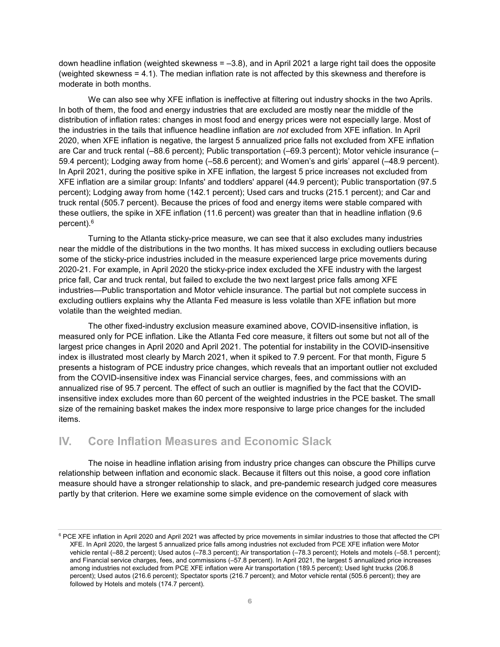down headline inflation (weighted skewness = –3.8), and in April 2021 a large right tail does the opposite (weighted skewness = 4.1). The median inflation rate is not affected by this skewness and therefore is moderate in both months.

We can also see why XFE inflation is ineffective at filtering out industry shocks in the two Aprils. In both of them, the food and energy industries that are excluded are mostly near the middle of the distribution of inflation rates: changes in most food and energy prices were not especially large. Most of the industries in the tails that influence headline inflation are not excluded from XFE inflation. In April 2020, when XFE inflation is negative, the largest 5 annualized price falls not excluded from XFE inflation are Car and truck rental (–88.6 percent); Public transportation (–69.3 percent); Motor vehicle insurance (– 59.4 percent); Lodging away from home (–58.6 percent); and Women's and girls' apparel (–48.9 percent). In April 2021, during the positive spike in XFE inflation, the largest 5 price increases not excluded from XFE inflation are a similar group: Infants' and toddlers' apparel (44.9 percent); Public transportation (97.5 percent); Lodging away from home (142.1 percent); Used cars and trucks (215.1 percent); and Car and truck rental (505.7 percent). Because the prices of food and energy items were stable compared with these outliers, the spike in XFE inflation (11.6 percent) was greater than that in headline inflation (9.6 percent).<sup>6</sup>

Turning to the Atlanta sticky-price measure, we can see that it also excludes many industries near the middle of the distributions in the two months. It has mixed success in excluding outliers because some of the sticky-price industries included in the measure experienced large price movements during 2020-21. For example, in April 2020 the sticky-price index excluded the XFE industry with the largest price fall, Car and truck rental, but failed to exclude the two next largest price falls among XFE industries—Public transportation and Motor vehicle insurance. The partial but not complete success in excluding outliers explains why the Atlanta Fed measure is less volatile than XFE inflation but more volatile than the weighted median.

The other fixed-industry exclusion measure examined above, COVID-insensitive inflation, is measured only for PCE inflation. Like the Atlanta Fed core measure, it filters out some but not all of the largest price changes in April 2020 and April 2021. The potential for instability in the COVID-insensitive index is illustrated most clearly by March 2021, when it spiked to 7.9 percent. For that month, Figure 5 presents a histogram of PCE industry price changes, which reveals that an important outlier not excluded from the COVID-insensitive index was Financial service charges, fees, and commissions with an annualized rise of 95.7 percent. The effect of such an outlier is magnified by the fact that the COVIDinsensitive index excludes more than 60 percent of the weighted industries in the PCE basket. The small size of the remaining basket makes the index more responsive to large price changes for the included items.

# IV. Core Inflation Measures and Economic Slack

The noise in headline inflation arising from industry price changes can obscure the Phillips curve relationship between inflation and economic slack. Because it filters out this noise, a good core inflation measure should have a stronger relationship to slack, and pre-pandemic research judged core measures partly by that criterion. Here we examine some simple evidence on the comovement of slack with

 $^6$  PCE XFE inflation in April 2020 and April 2021 was affected by price movements in similar industries to those that affected the CPI XFE. In April 2020, the largest 5 annualized price falls among industries not excluded from PCE XFE inflation were Motor vehicle rental (–88.2 percent); Used autos (–78.3 percent); Air transportation (–78.3 percent); Hotels and motels (–58.1 percent); and Financial service charges, fees, and commissions (–57.8 percent). In April 2021, the largest 5 annualized price increases among industries not excluded from PCE XFE inflation were Air transportation (189.5 percent); Used light trucks (206.8 percent); Used autos (216.6 percent); Spectator sports (216.7 percent); and Motor vehicle rental (505.6 percent); they are followed by Hotels and motels (174.7 percent).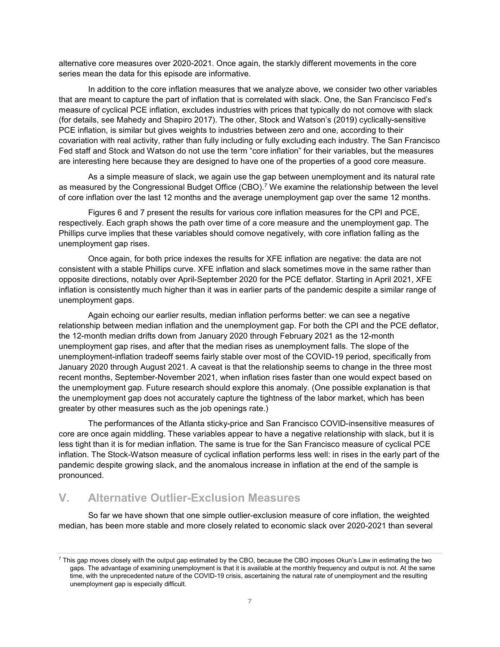alternative core measures over 2020-2021. Once again, the starkly different movements in the core series mean the data for this episode are informative.

In addition to the core inflation measures that we analyze above, we consider two other variables that are meant to capture the part of inflation that is correlated with slack. One, the San Francisco Fed's measure of cyclical PCE inflation, excludes industries with prices that typically do not comove with slack (for details, see Mahedy and Shapiro 2017). The other, Stock and Watson's (2019) cyclically-sensitive PCE inflation, is similar but gives weights to industries between zero and one, according to their covariation with real activity, rather than fully including or fully excluding each industry. The San Francisco Fed staff and Stock and Watson do not use the term "core inflation" for their variables, but the measures are interesting here because they are designed to have one of the properties of a good core measure.

As a simple measure of slack, we again use the gap between unemployment and its natural rate as measured by the Congressional Budget Office (CBO).<sup>7</sup> We examine the relationship between the level of core inflation over the last 12 months and the average unemployment gap over the same 12 months.

Figures 6 and 7 present the results for various core inflation measures for the CPI and PCE, respectively. Each graph shows the path over time of a core measure and the unemployment gap. The Phillips curve implies that these variables should comove negatively, with core inflation falling as the unemployment gap rises.

Once again, for both price indexes the results for XFE inflation are negative: the data are not consistent with a stable Phillips curve. XFE inflation and slack sometimes move in the same rather than opposite directions, notably over April-September 2020 for the PCE deflator. Starting in April 2021, XFE inflation is consistently much higher than it was in earlier parts of the pandemic despite a similar range of unemployment gaps.

Again echoing our earlier results, median inflation performs better: we can see a negative relationship between median inflation and the unemployment gap. For both the CPI and the PCE deflator, the 12-month median drifts down from January 2020 through February 2021 as the 12-month unemployment gap rises, and after that the median rises as unemployment falls. The slope of the unemployment-inflation tradeoff seems fairly stable over most of the COVID-19 period, specifically from January 2020 through August 2021. A caveat is that the relationship seems to change in the three most recent months, September-November 2021, when inflation rises faster than one would expect based on the unemployment gap. Future research should explore this anomaly. (One possible explanation is that the unemployment gap does not accurately capture the tightness of the labor market, which has been greater by other measures such as the job openings rate.)

The performances of the Atlanta sticky-price and San Francisco COVID-insensitive measures of core are once again middling. These variables appear to have a negative relationship with slack, but it is less tight than it is for median inflation. The same is true for the San Francisco measure of cyclical PCE inflation. The Stock-Watson measure of cyclical inflation performs less well: in rises in the early part of the pandemic despite growing slack, and the anomalous increase in inflation at the end of the sample is pronounced.

# V. Alternative Outlier-Exclusion Measures

So far we have shown that one simple outlier-exclusion measure of core inflation, the weighted median, has been more stable and more closely related to economic slack over 2020-2021 than several

 $^7$  This gap moves closely with the output gap estimated by the CBO, because the CBO imposes Okun's Law in estimating the two gaps. The advantage of examining unemployment is that it is available at the monthly frequency and output is not. At the same time, with the unprecedented nature of the COVID-19 crisis, ascertaining the natural rate of unemployment and the resulting unemployment gap is especially difficult.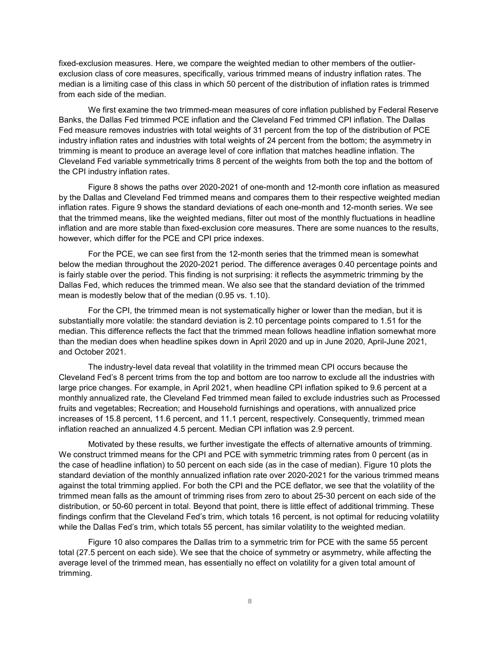fixed-exclusion measures. Here, we compare the weighted median to other members of the outlierexclusion class of core measures, specifically, various trimmed means of industry inflation rates. The median is a limiting case of this class in which 50 percent of the distribution of inflation rates is trimmed from each side of the median.

We first examine the two trimmed-mean measures of core inflation published by Federal Reserve Banks, the Dallas Fed trimmed PCE inflation and the Cleveland Fed trimmed CPI inflation. The Dallas Fed measure removes industries with total weights of 31 percent from the top of the distribution of PCE industry inflation rates and industries with total weights of 24 percent from the bottom; the asymmetry in trimming is meant to produce an average level of core inflation that matches headline inflation. The Cleveland Fed variable symmetrically trims 8 percent of the weights from both the top and the bottom of the CPI industry inflation rates.

Figure 8 shows the paths over 2020-2021 of one-month and 12-month core inflation as measured by the Dallas and Cleveland Fed trimmed means and compares them to their respective weighted median inflation rates. Figure 9 shows the standard deviations of each one-month and 12-month series. We see that the trimmed means, like the weighted medians, filter out most of the monthly fluctuations in headline inflation and are more stable than fixed-exclusion core measures. There are some nuances to the results, however, which differ for the PCE and CPI price indexes.

For the PCE, we can see first from the 12-month series that the trimmed mean is somewhat below the median throughout the 2020-2021 period. The difference averages 0.40 percentage points and is fairly stable over the period. This finding is not surprising: it reflects the asymmetric trimming by the Dallas Fed, which reduces the trimmed mean. We also see that the standard deviation of the trimmed mean is modestly below that of the median (0.95 vs. 1.10).

For the CPI, the trimmed mean is not systematically higher or lower than the median, but it is substantially more volatile: the standard deviation is 2.10 percentage points compared to 1.51 for the median. This difference reflects the fact that the trimmed mean follows headline inflation somewhat more than the median does when headline spikes down in April 2020 and up in June 2020, April-June 2021, and October 2021.

The industry-level data reveal that volatility in the trimmed mean CPI occurs because the Cleveland Fed's 8 percent trims from the top and bottom are too narrow to exclude all the industries with large price changes. For example, in April 2021, when headline CPI inflation spiked to 9.6 percent at a monthly annualized rate, the Cleveland Fed trimmed mean failed to exclude industries such as Processed fruits and vegetables; Recreation; and Household furnishings and operations, with annualized price increases of 15.8 percent, 11.6 percent, and 11.1 percent, respectively. Consequently, trimmed mean inflation reached an annualized 4.5 percent. Median CPI inflation was 2.9 percent.

Motivated by these results, we further investigate the effects of alternative amounts of trimming. We construct trimmed means for the CPI and PCE with symmetric trimming rates from 0 percent (as in the case of headline inflation) to 50 percent on each side (as in the case of median). Figure 10 plots the standard deviation of the monthly annualized inflation rate over 2020-2021 for the various trimmed means against the total trimming applied. For both the CPI and the PCE deflator, we see that the volatility of the trimmed mean falls as the amount of trimming rises from zero to about 25-30 percent on each side of the distribution, or 50-60 percent in total. Beyond that point, there is little effect of additional trimming. These findings confirm that the Cleveland Fed's trim, which totals 16 percent, is not optimal for reducing volatility while the Dallas Fed's trim, which totals 55 percent, has similar volatility to the weighted median.

Figure 10 also compares the Dallas trim to a symmetric trim for PCE with the same 55 percent total (27.5 percent on each side). We see that the choice of symmetry or asymmetry, while affecting the average level of the trimmed mean, has essentially no effect on volatility for a given total amount of trimming.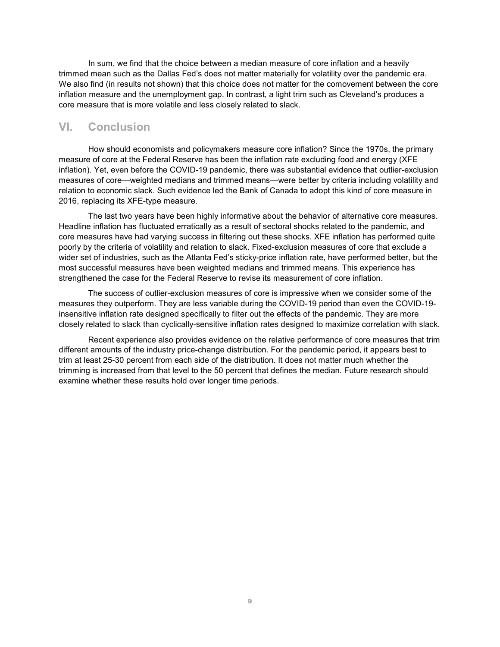In sum, we find that the choice between a median measure of core inflation and a heavily trimmed mean such as the Dallas Fed's does not matter materially for volatility over the pandemic era. We also find (in results not shown) that this choice does not matter for the comovement between the core inflation measure and the unemployment gap. In contrast, a light trim such as Cleveland's produces a core measure that is more volatile and less closely related to slack.

# VI. Conclusion

How should economists and policymakers measure core inflation? Since the 1970s, the primary measure of core at the Federal Reserve has been the inflation rate excluding food and energy (XFE inflation). Yet, even before the COVID-19 pandemic, there was substantial evidence that outlier-exclusion measures of core—weighted medians and trimmed means—were better by criteria including volatility and relation to economic slack. Such evidence led the Bank of Canada to adopt this kind of core measure in 2016, replacing its XFE-type measure.

The last two years have been highly informative about the behavior of alternative core measures. Headline inflation has fluctuated erratically as a result of sectoral shocks related to the pandemic, and core measures have had varying success in filtering out these shocks. XFE inflation has performed quite poorly by the criteria of volatility and relation to slack. Fixed-exclusion measures of core that exclude a wider set of industries, such as the Atlanta Fed's sticky-price inflation rate, have performed better, but the most successful measures have been weighted medians and trimmed means. This experience has strengthened the case for the Federal Reserve to revise its measurement of core inflation.

The success of outlier-exclusion measures of core is impressive when we consider some of the measures they outperform. They are less variable during the COVID-19 period than even the COVID-19 insensitive inflation rate designed specifically to filter out the effects of the pandemic. They are more closely related to slack than cyclically-sensitive inflation rates designed to maximize correlation with slack.

Recent experience also provides evidence on the relative performance of core measures that trim different amounts of the industry price-change distribution. For the pandemic period, it appears best to trim at least 25-30 percent from each side of the distribution. It does not matter much whether the trimming is increased from that level to the 50 percent that defines the median. Future research should examine whether these results hold over longer time periods.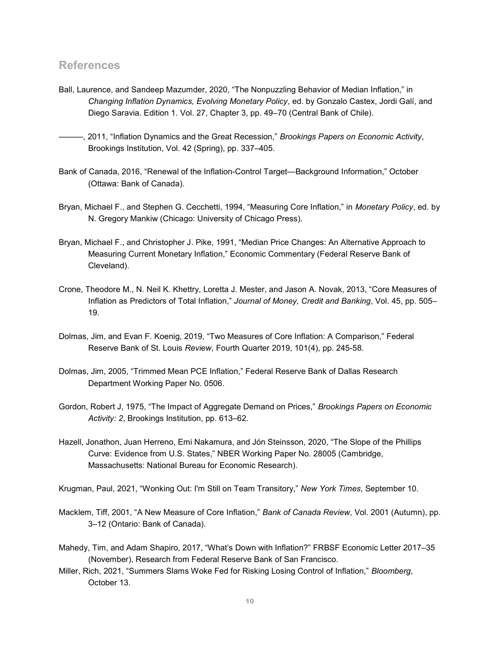## References

- Ball, Laurence, and Sandeep Mazumder, 2020, "The Nonpuzzling Behavior of Median Inflation," in Changing Inflation Dynamics, Evolving Monetary Policy, ed. by Gonzalo Castex, Jordi Galí, and Diego Saravia. Edition 1. Vol. 27, Chapter 3, pp. 49–70 (Central Bank of Chile).
- —, 2011, "Inflation Dynamics and the Great Recession," Brookings Papers on Economic Activity, Brookings Institution, Vol. 42 (Spring), pp. 337–405.
- Bank of Canada, 2016, "Renewal of the Inflation-Control Target—Background Information," October (Ottawa: Bank of Canada).
- Bryan, Michael F., and Stephen G. Cecchetti, 1994, "Measuring Core Inflation," in Monetary Policy, ed. by N. Gregory Mankiw (Chicago: University of Chicago Press).
- Bryan, Michael F., and Christopher J. Pike, 1991, "Median Price Changes: An Alternative Approach to Measuring Current Monetary Inflation," Economic Commentary (Federal Reserve Bank of Cleveland).
- Crone, Theodore M., N. Neil K. Khettry, Loretta J. Mester, and Jason A. Novak, 2013, "Core Measures of Inflation as Predictors of Total Inflation," Journal of Money, Credit and Banking, Vol. 45, pp. 505-19.
- Dolmas, Jim, and Evan F. Koenig, 2019, "Two Measures of Core Inflation: A Comparison," Federal Reserve Bank of St. Louis Review, Fourth Quarter 2019, 101(4), pp. 245-58.
- Dolmas, Jim, 2005, "Trimmed Mean PCE Inflation," Federal Reserve Bank of Dallas Research Department Working Paper No. 0506.
- Gordon, Robert J, 1975, "The Impact of Aggregate Demand on Prices," Brookings Papers on Economic Activity: 2, Brookings Institution, pp. 613-62.
- Hazell, Jonathon, Juan Herreno, Emi Nakamura, and Jón Steinsson, 2020, "The Slope of the Phillips Curve: Evidence from U.S. States," NBER Working Paper No. 28005 (Cambridge, Massachusetts: National Bureau for Economic Research).

Krugman, Paul, 2021, "Wonking Out: I'm Still on Team Transitory," New York Times, September 10.

- Macklem, Tiff, 2001, "A New Measure of Core Inflation," Bank of Canada Review, Vol. 2001 (Autumn), pp. 3–12 (Ontario: Bank of Canada).
- Mahedy, Tim, and Adam Shapiro, 2017, "What's Down with Inflation?" FRBSF Economic Letter 2017–35 (November), Research from Federal Reserve Bank of San Francisco.
- Miller, Rich, 2021, "Summers Slams Woke Fed for Risking Losing Control of Inflation," Bloomberg, October 13.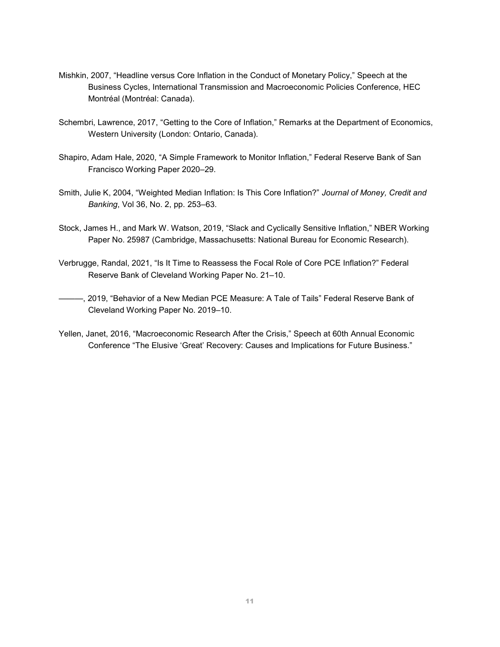- Mishkin, 2007, "Headline versus Core Inflation in the Conduct of Monetary Policy," Speech at the Business Cycles, International Transmission and Macroeconomic Policies Conference, HEC Montréal (Montréal: Canada).
- Schembri, Lawrence, 2017, "Getting to the Core of Inflation," Remarks at the Department of Economics, Western University (London: Ontario, Canada).
- Shapiro, Adam Hale, 2020, "A Simple Framework to Monitor Inflation," Federal Reserve Bank of San Francisco Working Paper 2020–29.
- Smith, Julie K, 2004, "Weighted Median Inflation: Is This Core Inflation?" Journal of Money, Credit and Banking, Vol 36, No. 2, pp. 253–63.
- Stock, James H., and Mark W. Watson, 2019, "Slack and Cyclically Sensitive Inflation," NBER Working Paper No. 25987 (Cambridge, Massachusetts: National Bureau for Economic Research).
- Verbrugge, Randal, 2021, "Is It Time to Reassess the Focal Role of Core PCE Inflation?" Federal Reserve Bank of Cleveland Working Paper No. 21–10.
- ———, 2019, "Behavior of a New Median PCE Measure: A Tale of Tails" Federal Reserve Bank of Cleveland Working Paper No. 2019–10.
- Yellen, Janet, 2016, "Macroeconomic Research After the Crisis," Speech at 60th Annual Economic Conference "The Elusive 'Great' Recovery: Causes and Implications for Future Business."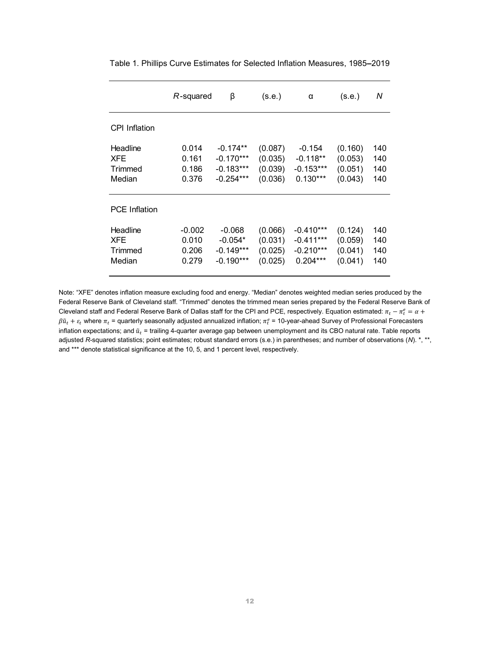| Table 1. Phillips Curve Estimates for Selected Inflation Measures, 1985-2019 |                |                            |                    |                           |                    |            |
|------------------------------------------------------------------------------|----------------|----------------------------|--------------------|---------------------------|--------------------|------------|
|                                                                              |                |                            |                    |                           |                    |            |
|                                                                              |                |                            |                    |                           |                    |            |
|                                                                              |                |                            |                    |                           |                    |            |
|                                                                              |                |                            |                    |                           |                    |            |
|                                                                              |                |                            |                    |                           |                    |            |
|                                                                              |                |                            |                    |                           |                    |            |
|                                                                              | R-squared      | β                          | (s.e.)             | α                         | (s.e.)             | N          |
|                                                                              |                |                            |                    |                           |                    |            |
| CPI Inflation                                                                |                |                            |                    |                           |                    |            |
| Headline                                                                     | 0.014          | $-0.174**$                 | (0.087)            | $-0.154$                  | (0.160)            | 140        |
| <b>XFE</b>                                                                   | 0.161          | $-0.170***$                | (0.035)            | $-0.118**$                | (0.053)            | 140        |
| Trimmed<br>Median                                                            | 0.186<br>0.376 | $-0.183***$<br>$-0.254***$ | (0.039)<br>(0.036) | $-0.153***$<br>$0.130***$ | (0.051)<br>(0.043) | 140<br>140 |
|                                                                              |                |                            |                    |                           |                    |            |
| <b>PCE Inflation</b>                                                         |                |                            |                    |                           |                    |            |
|                                                                              | $-0.002$       | $-0.068$                   | (0.066)            | $-0.410***$               | (0.124)            | 140        |
|                                                                              | 0.010          | $-0.054*$                  | (0.031)            | $-0.411***$               | (0.059)            | 140        |
|                                                                              |                | $-0.149***$                | (0.025)            | $-0.210***$ (0.041)       |                    | 140        |
| Headline<br><b>XFE</b><br>Trimmed                                            | 0.206          |                            | (0.025)            | $0.204***$                | (0.041)            | 140        |

Table 1. Phillips Curve Estimates for Selected Inflation Measures, 1985–2019

Note: "XFE" denotes inflation measure excluding food and energy. "Median" denotes weighted median series produced by the Federal Reserve Bank of Cleveland staff. "Trimmed" denotes the trimmed mean series prepared by the Federal Reserve Bank of Cleveland staff and Federal Reserve Bank of Dallas staff for the CPI and PCE, respectively. Equation estimated:  $\pi_t-\pi_t^e=\alpha+$  $\beta\tilde u_t+\varepsilon_t$  where  $\pi_t$  = quarterly seasonally adjusted annualized inflation;  $\pi_t^e$  = 10-year-ahead Survey of Professional Forecasters inflation expectations; and  $\tilde{u}_t$  = trailing 4-quarter average gap between unemployment and its CBO natural rate. Table reports adjusted R-squared statistics; point estimates; robust standard errors (s.e.) in parentheses; and number of observations (N). \*, \*\*, and \*\*\* denote statistical significance at the 10, 5, and 1 percent level, respectively.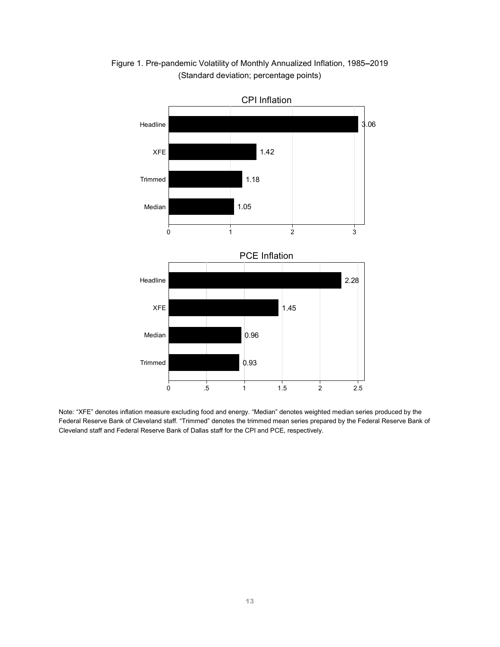

Figure 1. Pre-pandemic Volatility of Monthly Annualized Inflation, 1985–2019 (Standard deviation; percentage points)

Note: "XFE" denotes inflation measure excluding food and energy. "Median" denotes weighted median series produced by the Federal Reserve Bank of Cleveland staff. "Trimmed" denotes the trimmed mean series prepared by the Federal Reserve Bank of Cleveland staff and Federal Reserve Bank of Dallas staff for the CPI and PCE, respectively.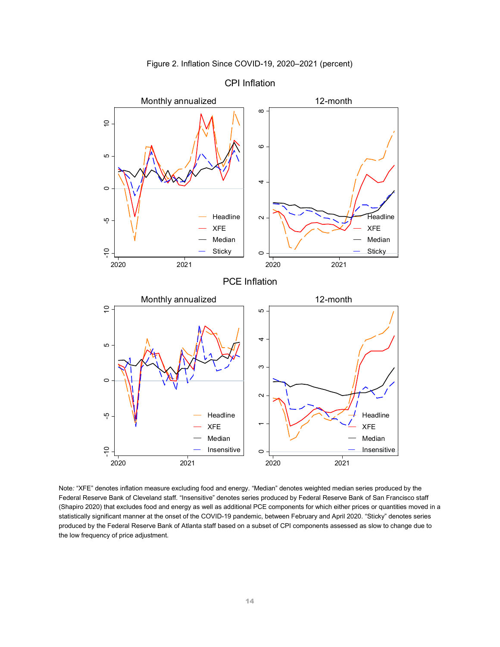

Figure 2. Inflation Since COVID-19, 2020–2021 (percent)

Note: "XFE" denotes inflation measure excluding food and energy. "Median" denotes weighted median series produced by the Federal Reserve Bank of Cleveland staff. "Insensitive" denotes series produced by Federal Reserve Bank of San Francisco staff (Shapiro 2020) that excludes food and energy as well as additional PCE components for which either prices or quantities moved in a statistically significant manner at the onset of the COVID-19 pandemic, between February and April 2020. "Sticky" denotes series produced by the Federal Reserve Bank of Atlanta staff based on a subset of CPI components assessed as slow to change due to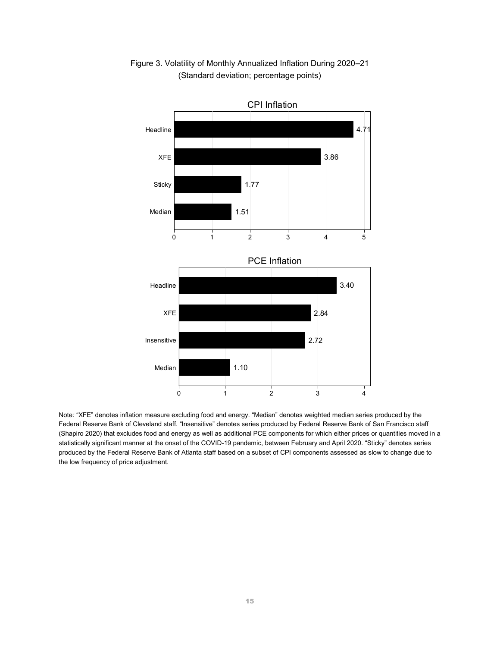

Figure 3. Volatility of Monthly Annualized Inflation During 2020–21 (Standard deviation; percentage points)

Note: "XFE" denotes inflation measure excluding food and energy. "Median" denotes weighted median series produced by the Federal Reserve Bank of Cleveland staff. "Insensitive" denotes series produced by Federal Reserve Bank of San Francisco staff (Shapiro 2020) that excludes food and energy as well as additional PCE components for which either prices or quantities moved in a statistically significant manner at the onset of the COVID-19 pandemic, between February and April 2020. "Sticky" denotes series produced by the Federal Reserve Bank of Atlanta staff based on a subset of CPI components assessed as slow to change due to the low frequency of price adjustment.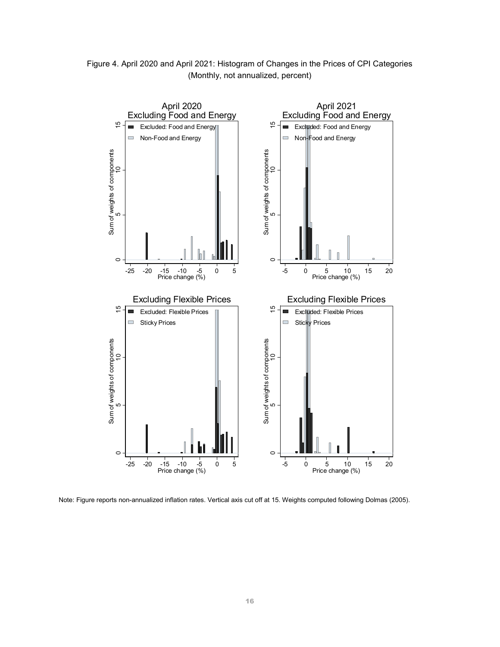



Note: Figure reports non-annualized inflation rates. Vertical axis cut off at 15. Weights computed following Dolmas (2005).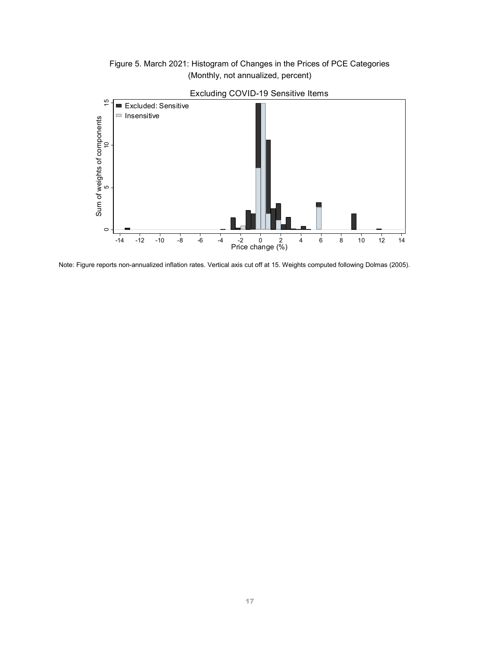Figure 5. March 2021: Histogram of Changes in the Prices of PCE Categories (Monthly, not annualized, percent)



Excluding COVID-19 Sensitive Items

Note: Figure reports non-annualized inflation rates. Vertical axis cut off at 15. Weights computed following Dolmas (2005).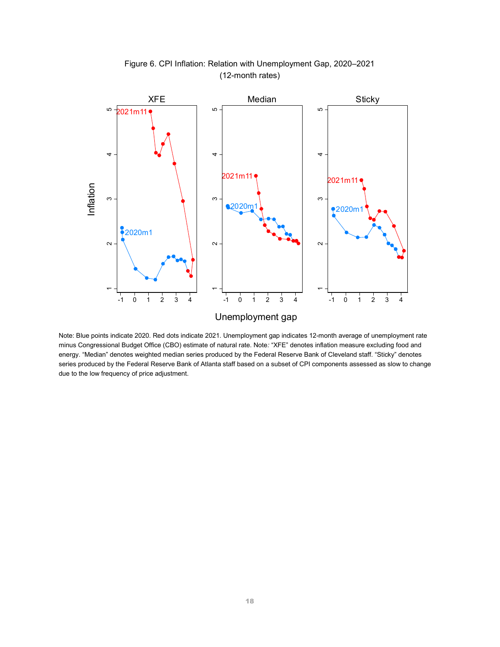

Figure 6. CPI Inflation: Relation with Unemployment Gap, 2020–2021 (12-month rates)

Note: Blue points indicate 2020. Red dots indicate 2021. Unemployment gap indicates 12-month average of unemployment rate minus Congressional Budget Office (CBO) estimate of natural rate. Note: "XFE" denotes inflation measure excluding food and energy. "Median" denotes weighted median series produced by the Federal Reserve Bank of Cleveland staff. "Sticky" denotes series produced by the Federal Reserve Bank of Atlanta staff based on a subset of CPI components assessed as slow to change due to the low frequency of price adjustment.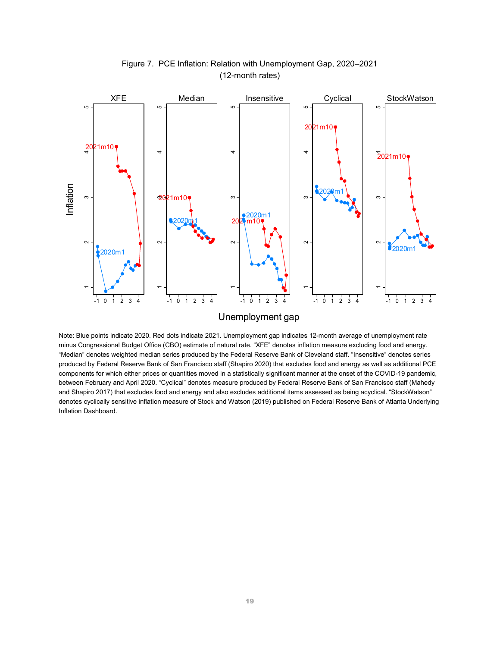

## Figure 7. PCE Inflation: Relation with Unemployment Gap, 2020–2021 (12-month rates)

Note: Blue points indicate 2020. Red dots indicate 2021. Unemployment gap indicates 12-month average of unemployment rate minus Congressional Budget Office (CBO) estimate of natural rate. "XFE" denotes inflation measure excluding food and energy. "Median" denotes weighted median series produced by the Federal Reserve Bank of Cleveland staff. "Insensitive" denotes series produced by Federal Reserve Bank of San Francisco staff (Shapiro 2020) that excludes food and energy as well as additional PCE components for which either prices or quantities moved in a statistically significant manner at the onset of the COVID-19 pandemic, between February and April 2020. "Cyclical" denotes measure produced by Federal Reserve Bank of San Francisco staff (Mahedy and Shapiro 2017) that excludes food and energy and also excludes additional items assessed as being acyclical. "StockWatson" denotes cyclically sensitive inflation measure of Stock and Watson (2019) published on Federal Reserve Bank of Atlanta Underlying Inflation Dashboard.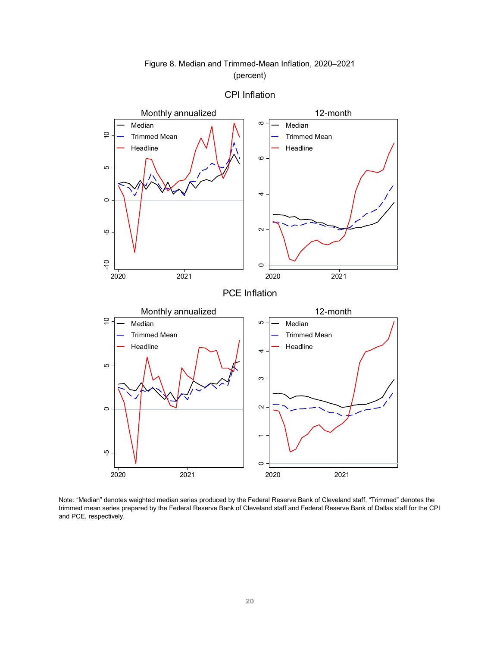# Figure 8. Median and Trimmed-Mean Inflation, 2020–2021 (percent)



### CPI Inflation

Note: "Median" denotes weighted median series produced by the Federal Reserve Bank of Cleveland staff. "Trimmed" denotes the trimmed mean series prepared by the Federal Reserve Bank of Cleveland staff and Federal Reserve Bank of Dallas staff for the CPI and PCE, respectively.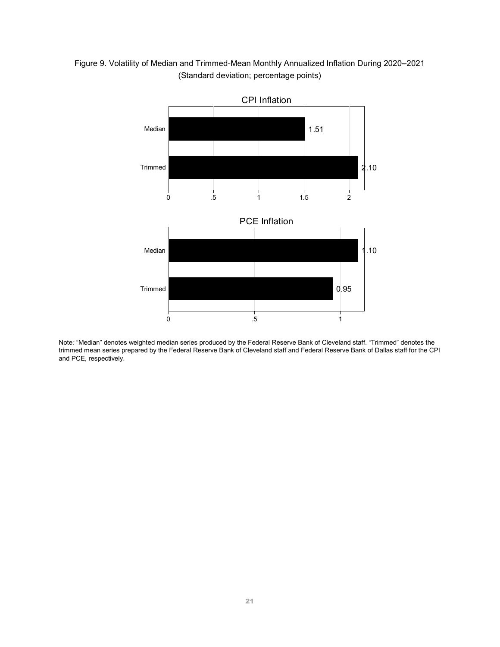# Figure 9. Volatility of Median and Trimmed-Mean Monthly Annualized Inflation During 2020–2021 (Standard deviation; percentage points)



Note: "Median" denotes weighted median series produced by the Federal Reserve Bank of Cleveland staff. "Trimmed" denotes the trimmed mean series prepared by the Federal Reserve Bank of Cleveland staff and Federal Reserve Bank of Dallas staff for the CPI and PCE, respectively.